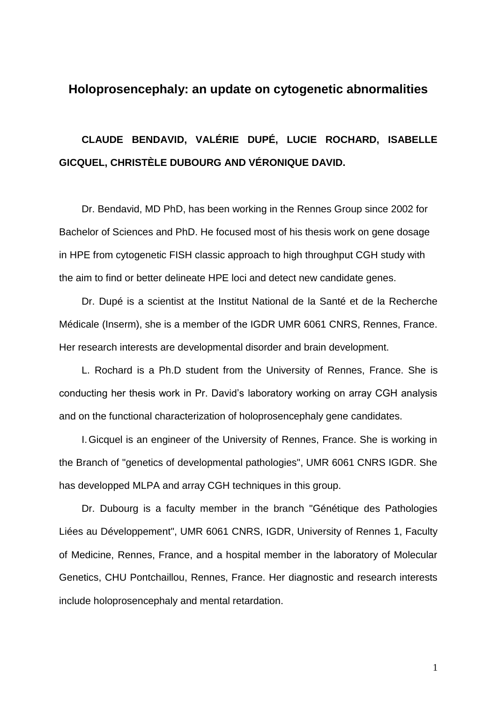## **Holoprosencephaly: an update on cytogenetic abnormalities**

**CLAUDE BENDAVID, VALÉRIE DUPÉ, LUCIE ROCHARD, ISABELLE GICQUEL, CHRISTÈLE DUBOURG AND VÉRONIQUE DAVID.**

Dr. Bendavid, MD PhD, has been working in the Rennes Group since 2002 for Bachelor of Sciences and PhD. He focused most of his thesis work on gene dosage in HPE from cytogenetic FISH classic approach to high throughput CGH study with the aim to find or better delineate HPE loci and detect new candidate genes.

Dr. Dupé is a scientist at the Institut National de la Santé et de la Recherche Médicale (Inserm), she is a member of the IGDR UMR 6061 CNRS, Rennes, France. Her research interests are developmental disorder and brain development.

L. Rochard is a Ph.D student from the University of Rennes, France. She is conducting her thesis work in Pr. David's laboratory working on array CGH analysis and on the functional characterization of holoprosencephaly gene candidates.

I.Gicquel is an engineer of the University of Rennes, France. She is working in the Branch of "genetics of developmental pathologies", UMR 6061 CNRS IGDR. She has developped MLPA and array CGH techniques in this group.

Dr. Dubourg is a faculty member in the branch "Génétique des Pathologies Liées au Développement", UMR 6061 CNRS, IGDR, University of Rennes 1, Faculty of Medicine, Rennes, France, and a hospital member in the laboratory of Molecular Genetics, CHU Pontchaillou, Rennes, France. Her diagnostic and research interests include holoprosencephaly and mental retardation.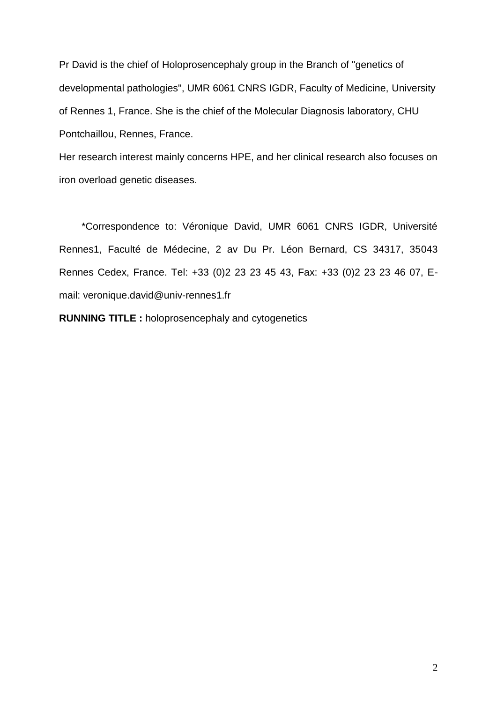Pr David is the chief of Holoprosencephaly group in the Branch of "genetics of developmental pathologies", UMR 6061 CNRS IGDR, Faculty of Medicine, University of Rennes 1, France. She is the chief of the Molecular Diagnosis laboratory, CHU Pontchaillou, Rennes, France.

Her research interest mainly concerns HPE, and her clinical research also focuses on iron overload genetic diseases.

\*Correspondence to: Véronique David, UMR 6061 CNRS IGDR, Université Rennes1, Faculté de Médecine, 2 av Du Pr. Léon Bernard, CS 34317, 35043 Rennes Cedex, France. Tel: +33 (0)2 23 23 45 43, Fax: +33 (0)2 23 23 46 07, Email: [veronique.david@univ-rennes1.fr](mailto:veronique.david@univ-rennes1.fr)

**RUNNING TITLE :** holoprosencephaly and cytogenetics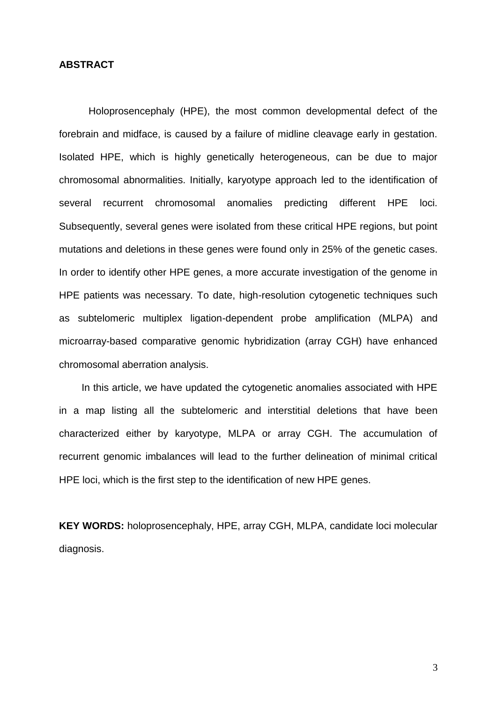### **ABSTRACT**

Holoprosencephaly (HPE), the most common developmental defect of the forebrain and midface, is caused by a failure of midline cleavage early in gestation. Isolated HPE, which is highly genetically heterogeneous, can be due to major chromosomal abnormalities. Initially, karyotype approach led to the identification of several recurrent chromosomal anomalies predicting different HPE loci. Subsequently, several genes were isolated from these critical HPE regions, but point mutations and deletions in these genes were found only in 25% of the genetic cases. In order to identify other HPE genes, a more accurate investigation of the genome in HPE patients was necessary. To date, high-resolution cytogenetic techniques such as subtelomeric multiplex ligation-dependent probe amplification (MLPA) and microarray-based comparative genomic hybridization (array CGH) have enhanced chromosomal aberration analysis.

In this article, we have updated the cytogenetic anomalies associated with HPE in a map listing all the subtelomeric and interstitial deletions that have been characterized either by karyotype, MLPA or array CGH. The accumulation of recurrent genomic imbalances will lead to the further delineation of minimal critical HPE loci, which is the first step to the identification of new HPE genes.

**KEY WORDS:** holoprosencephaly, HPE, array CGH, MLPA, candidate loci molecular diagnosis.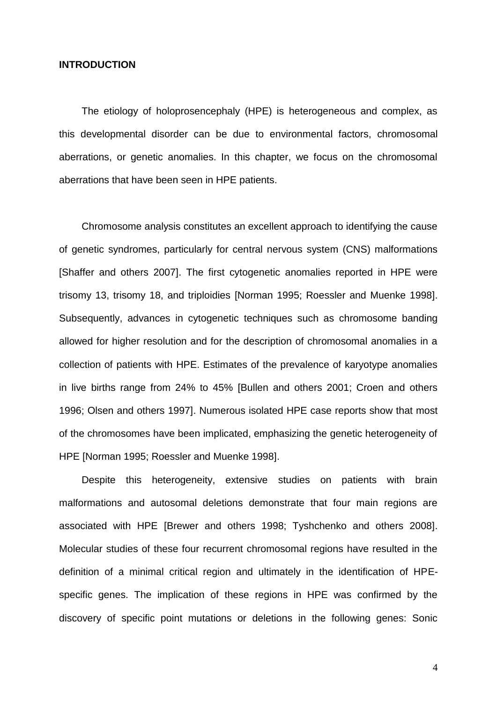### **INTRODUCTION**

The etiology of holoprosencephaly (HPE) is heterogeneous and complex, as this developmental disorder can be due to environmental factors, chromosomal aberrations, or genetic anomalies. In this chapter, we focus on the chromosomal aberrations that have been seen in HPE patients.

Chromosome analysis constitutes an excellent approach to identifying the cause of genetic syndromes, particularly for central nervous system (CNS) malformations [Shaffer and others 2007]. The first cytogenetic anomalies reported in HPE were trisomy 13, trisomy 18, and triploidies [Norman 1995; Roessler and Muenke 1998]. Subsequently, advances in cytogenetic techniques such as chromosome banding allowed for higher resolution and for the description of chromosomal anomalies in a collection of patients with HPE. Estimates of the prevalence of karyotype anomalies in live births range from 24% to 45% [Bullen and others 2001; Croen and others 1996; Olsen and others 1997]. Numerous isolated HPE case reports show that most of the chromosomes have been implicated, emphasizing the genetic heterogeneity of HPE [Norman 1995; Roessler and Muenke 1998].

Despite this heterogeneity, extensive studies on patients with brain malformations and autosomal deletions demonstrate that four main regions are associated with HPE [Brewer and others 1998; Tyshchenko and others 2008]. Molecular studies of these four recurrent chromosomal regions have resulted in the definition of a minimal critical region and ultimately in the identification of HPEspecific genes. The implication of these regions in HPE was confirmed by the discovery of specific point mutations or deletions in the following genes: Sonic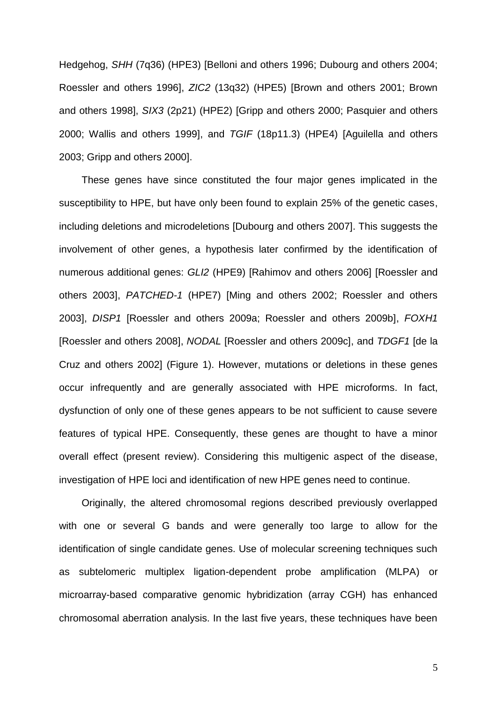Hedgehog, *SHH* (7q36) (HPE3) [Belloni and others 1996; Dubourg and others 2004; Roessler and others 1996], *ZIC2* (13q32) (HPE5) [Brown and others 2001; Brown and others 1998], *SIX3* (2p21) (HPE2) [Gripp and others 2000; Pasquier and others 2000; Wallis and others 1999], and *TGIF* (18p11.3) (HPE4) [Aguilella and others 2003; Gripp and others 2000].

These genes have since constituted the four major genes implicated in the susceptibility to HPE, but have only been found to explain 25% of the genetic cases, including deletions and microdeletions [Dubourg and others 2007]. This suggests the involvement of other genes, a hypothesis later confirmed by the identification of numerous additional genes: *GLI2* (HPE9) [Rahimov and others 2006] [Roessler and others 2003], *PATCHED-1* (HPE7) [Ming and others 2002; Roessler and others 2003], *DISP1* [Roessler and others 2009a; Roessler and others 2009b], *FOXH1* [Roessler and others 2008], *NODAL* [Roessler and others 2009c], and *TDGF1* [de la Cruz and others 2002] (Figure 1). However, mutations or deletions in these genes occur infrequently and are generally associated with HPE microforms. In fact, dysfunction of only one of these genes appears to be not sufficient to cause severe features of typical HPE. Consequently, these genes are thought to have a minor overall effect (present review). Considering this multigenic aspect of the disease, investigation of HPE loci and identification of new HPE genes need to continue.

Originally, the altered chromosomal regions described previously overlapped with one or several G bands and were generally too large to allow for the identification of single candidate genes. Use of molecular screening techniques such as subtelomeric multiplex ligation-dependent probe amplification (MLPA) or microarray-based comparative genomic hybridization (array CGH) has enhanced chromosomal aberration analysis. In the last five years, these techniques have been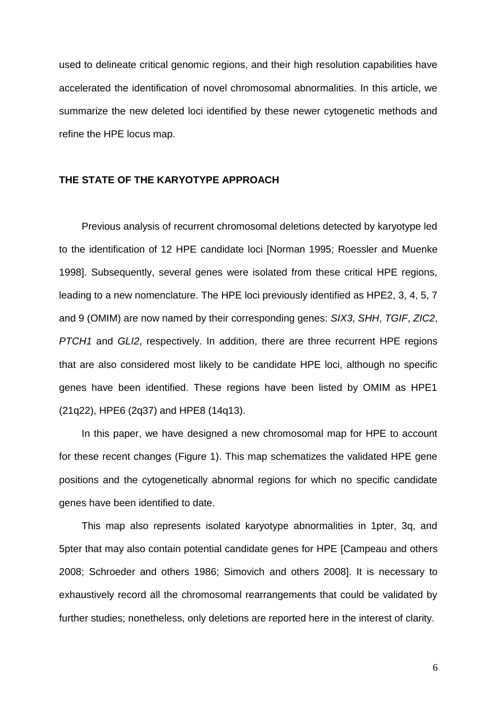used to delineate critical genomic regions, and their high resolution capabilities have accelerated the identification of novel chromosomal abnormalities. In this article, we summarize the new deleted loci identified by these newer cytogenetic methods and refine the HPE locus map.

### **THE STATE OF THE KARYOTYPE APPROACH**

Previous analysis of recurrent chromosomal deletions detected by karyotype led to the identification of 12 HPE candidate loci [Norman 1995; Roessler and Muenke 1998]. Subsequently, several genes were isolated from these critical HPE regions, leading to a new nomenclature. The HPE loci previously identified as HPE2, 3, 4, 5, 7 and 9 (OMIM) are now named by their corresponding genes: *SIX3*, *SHH*, *TGIF*, *ZIC2*, *PTCH1* and *GLI2*, respectively. In addition, there are three recurrent HPE regions that are also considered most likely to be candidate HPE loci, although no specific genes have been identified. These regions have been listed by OMIM as HPE1 (21q22), HPE6 (2q37) and HPE8 (14q13).

In this paper, we have designed a new chromosomal map for HPE to account for these recent changes (Figure 1). This map schematizes the validated HPE gene positions and the cytogenetically abnormal regions for which no specific candidate genes have been identified to date.

This map also represents isolated karyotype abnormalities in 1pter, 3q, and 5pter that may also contain potential candidate genes for HPE [Campeau and others 2008; Schroeder and others 1986; Simovich and others 2008]. It is necessary to exhaustively record all the chromosomal rearrangements that could be validated by further studies; nonetheless, only deletions are reported here in the interest of clarity.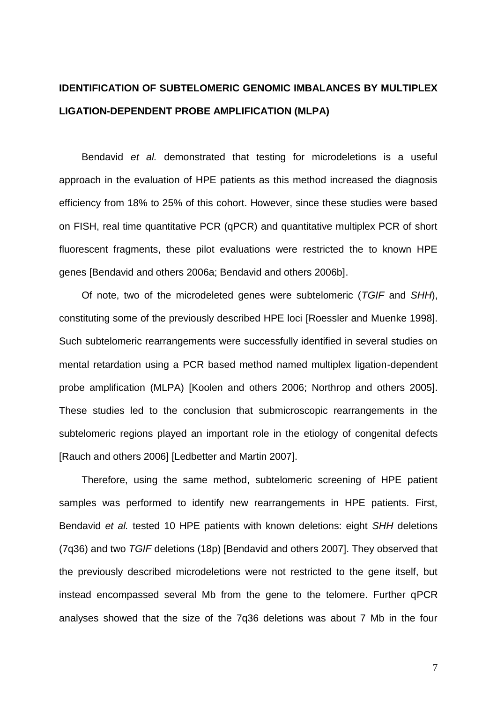# **IDENTIFICATION OF SUBTELOMERIC GENOMIC IMBALANCES BY MULTIPLEX LIGATION-DEPENDENT PROBE AMPLIFICATION (MLPA)**

Bendavid *et al.* demonstrated that testing for microdeletions is a useful approach in the evaluation of HPE patients as this method increased the diagnosis efficiency from 18% to 25% of this cohort. However, since these studies were based on FISH, real time quantitative PCR (qPCR) and quantitative multiplex PCR of short fluorescent fragments, these pilot evaluations were restricted the to known HPE genes [Bendavid and others 2006a; Bendavid and others 2006b].

Of note, two of the microdeleted genes were subtelomeric (*TGIF* and *SHH*), constituting some of the previously described HPE loci [Roessler and Muenke 1998]. Such subtelomeric rearrangements were successfully identified in several studies on mental retardation using a PCR based method named multiplex ligation-dependent probe amplification (MLPA) [Koolen and others 2006; Northrop and others 2005]. These studies led to the conclusion that submicroscopic rearrangements in the subtelomeric regions played an important role in the etiology of congenital defects [Rauch and others 2006] [Ledbetter and Martin 2007].

Therefore, using the same method, subtelomeric screening of HPE patient samples was performed to identify new rearrangements in HPE patients. First, Bendavid *et al.* tested 10 HPE patients with known deletions: eight *SHH* deletions (7q36) and two *TGIF* deletions (18p) [Bendavid and others 2007]. They observed that the previously described microdeletions were not restricted to the gene itself, but instead encompassed several Mb from the gene to the telomere. Further qPCR analyses showed that the size of the 7q36 deletions was about 7 Mb in the four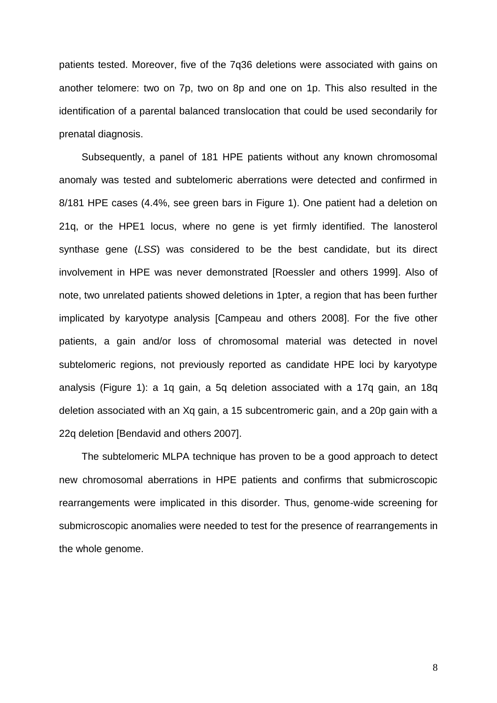patients tested. Moreover, five of the 7q36 deletions were associated with gains on another telomere: two on 7p, two on 8p and one on 1p. This also resulted in the identification of a parental balanced translocation that could be used secondarily for prenatal diagnosis.

Subsequently, a panel of 181 HPE patients without any known chromosomal anomaly was tested and subtelomeric aberrations were detected and confirmed in 8/181 HPE cases (4.4%, see green bars in Figure 1). One patient had a deletion on 21q, or the HPE1 locus, where no gene is yet firmly identified. The lanosterol synthase gene (*LSS*) was considered to be the best candidate, but its direct involvement in HPE was never demonstrated [Roessler and others 1999]. Also of note, two unrelated patients showed deletions in 1pter, a region that has been further implicated by karyotype analysis [Campeau and others 2008]. For the five other patients, a gain and/or loss of chromosomal material was detected in novel subtelomeric regions, not previously reported as candidate HPE loci by karyotype analysis (Figure 1): a 1q gain, a 5q deletion associated with a 17q gain, an 18q deletion associated with an Xq gain, a 15 subcentromeric gain, and a 20p gain with a 22q deletion [Bendavid and others 2007].

The subtelomeric MLPA technique has proven to be a good approach to detect new chromosomal aberrations in HPE patients and confirms that submicroscopic rearrangements were implicated in this disorder. Thus, genome-wide screening for submicroscopic anomalies were needed to test for the presence of rearrangements in the whole genome.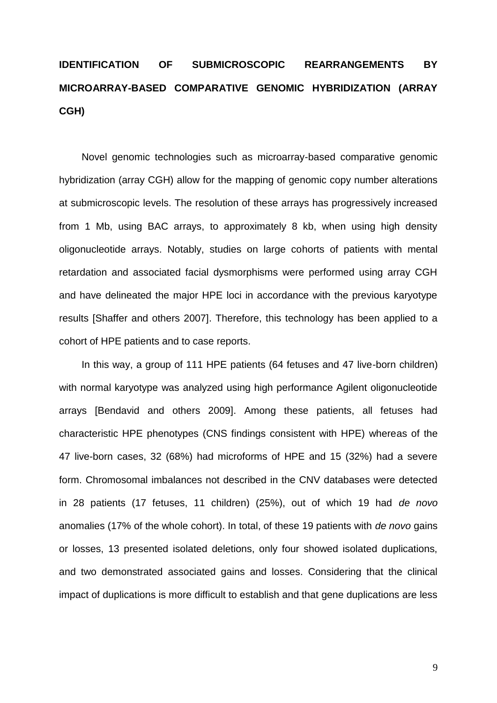# **IDENTIFICATION OF SUBMICROSCOPIC REARRANGEMENTS BY MICROARRAY-BASED COMPARATIVE GENOMIC HYBRIDIZATION (ARRAY CGH)**

Novel genomic technologies such as microarray-based comparative genomic hybridization (array CGH) allow for the mapping of genomic copy number alterations at submicroscopic levels. The resolution of these arrays has progressively increased from 1 Mb, using BAC arrays, to approximately 8 kb, when using high density oligonucleotide arrays. Notably, studies on large cohorts of patients with mental retardation and associated facial dysmorphisms were performed using array CGH and have delineated the major HPE loci in accordance with the previous karyotype results [Shaffer and others 2007]. Therefore, this technology has been applied to a cohort of HPE patients and to case reports.

In this way, a group of 111 HPE patients (64 fetuses and 47 live-born children) with normal karyotype was analyzed using high performance Agilent oligonucleotide arrays [Bendavid and others 2009]. Among these patients, all fetuses had characteristic HPE phenotypes (CNS findings consistent with HPE) whereas of the 47 live-born cases, 32 (68%) had microforms of HPE and 15 (32%) had a severe form. Chromosomal imbalances not described in the CNV databases were detected in 28 patients (17 fetuses, 11 children) (25%), out of which 19 had *de novo* anomalies (17% of the whole cohort). In total, of these 19 patients with *de novo* gains or losses, 13 presented isolated deletions, only four showed isolated duplications, and two demonstrated associated gains and losses. Considering that the clinical impact of duplications is more difficult to establish and that gene duplications are less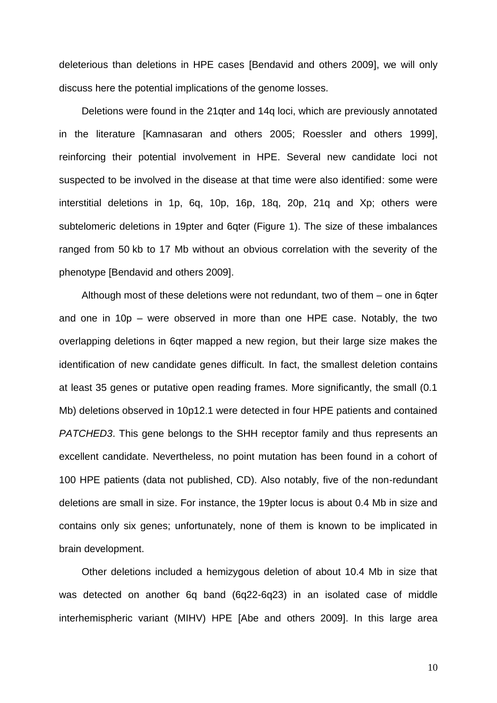deleterious than deletions in HPE cases [Bendavid and others 2009], we will only discuss here the potential implications of the genome losses.

Deletions were found in the 21qter and 14q loci, which are previously annotated in the literature [Kamnasaran and others 2005; Roessler and others 1999], reinforcing their potential involvement in HPE. Several new candidate loci not suspected to be involved in the disease at that time were also identified: some were interstitial deletions in 1p, 6q, 10p, 16p, 18q, 20p, 21q and Xp; others were subtelomeric deletions in 19pter and 6qter (Figure 1). The size of these imbalances ranged from 50 kb to 17 Mb without an obvious correlation with the severity of the phenotype [Bendavid and others 2009].

Although most of these deletions were not redundant, two of them – one in 6qter and one in 10p – were observed in more than one HPE case. Notably, the two overlapping deletions in 6qter mapped a new region, but their large size makes the identification of new candidate genes difficult. In fact, the smallest deletion contains at least 35 genes or putative open reading frames. More significantly, the small (0.1 Mb) deletions observed in 10p12.1 were detected in four HPE patients and contained *PATCHED3*. This gene belongs to the SHH receptor family and thus represents an excellent candidate. Nevertheless, no point mutation has been found in a cohort of 100 HPE patients (data not published, CD). Also notably, five of the non-redundant deletions are small in size. For instance, the 19pter locus is about 0.4 Mb in size and contains only six genes; unfortunately, none of them is known to be implicated in brain development.

Other deletions included a hemizygous deletion of about 10.4 Mb in size that was detected on another 6q band (6q22-6q23) in an isolated case of middle interhemispheric variant (MIHV) HPE [Abe and others 2009]. In this large area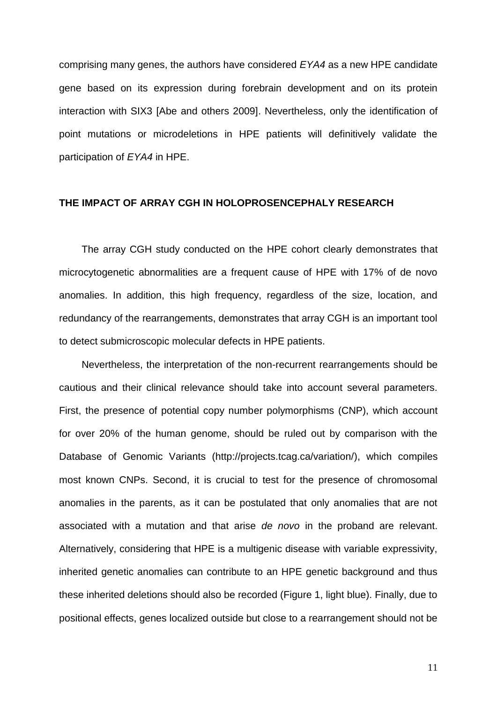comprising many genes, the authors have considered *EYA4* as a new HPE candidate gene based on its expression during forebrain development and on its protein interaction with SIX3 [Abe and others 2009]. Nevertheless, only the identification of point mutations or microdeletions in HPE patients will definitively validate the participation of *EYA4* in HPE.

### **THE IMPACT OF ARRAY CGH IN HOLOPROSENCEPHALY RESEARCH**

The array CGH study conducted on the HPE cohort clearly demonstrates that microcytogenetic abnormalities are a frequent cause of HPE with 17% of de novo anomalies. In addition, this high frequency, regardless of the size, location, and redundancy of the rearrangements, demonstrates that array CGH is an important tool to detect submicroscopic molecular defects in HPE patients.

Nevertheless, the interpretation of the non-recurrent rearrangements should be cautious and their clinical relevance should take into account several parameters. First, the presence of potential copy number polymorphisms (CNP), which account for over 20% of the human genome, should be ruled out by comparison with the Database of Genomic Variants [\(http://projects.tcag.ca/variation/\)](http://projects.tcag.ca/variations), which compiles most known CNPs. Second, it is crucial to test for the presence of chromosomal anomalies in the parents, as it can be postulated that only anomalies that are not associated with a mutation and that arise *de novo* in the proband are relevant. Alternatively, considering that HPE is a multigenic disease with variable expressivity, inherited genetic anomalies can contribute to an HPE genetic background and thus these inherited deletions should also be recorded (Figure 1, light blue). Finally, due to positional effects, genes localized outside but close to a rearrangement should not be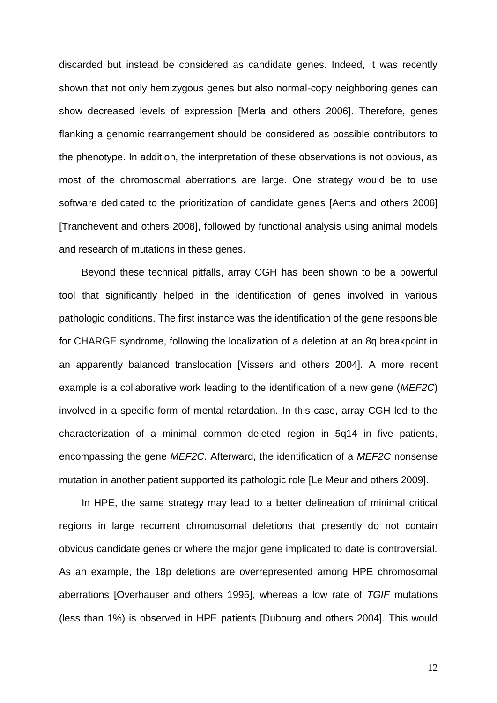discarded but instead be considered as candidate genes. Indeed, it was recently shown that not only hemizygous genes but also normal-copy neighboring genes can show decreased levels of expression [Merla and others 2006]. Therefore, genes flanking a genomic rearrangement should be considered as possible contributors to the phenotype. In addition, the interpretation of these observations is not obvious, as most of the chromosomal aberrations are large. One strategy would be to use software dedicated to the prioritization of candidate genes [Aerts and others 2006] [Tranchevent and others 2008], followed by functional analysis using animal models and research of mutations in these genes.

Beyond these technical pitfalls, array CGH has been shown to be a powerful tool that significantly helped in the identification of genes involved in various pathologic conditions. The first instance was the identification of the gene responsible for CHARGE syndrome, following the localization of a deletion at an 8q breakpoint in an apparently balanced translocation [Vissers and others 2004]. A more recent example is a collaborative work leading to the identification of a new gene (*MEF2C*) involved in a specific form of mental retardation. In this case, array CGH led to the characterization of a minimal common deleted region in 5q14 in five patients, encompassing the gene *MEF2C*. Afterward, the identification of a *MEF2C* nonsense mutation in another patient supported its pathologic role [Le Meur and others 2009].

In HPE, the same strategy may lead to a better delineation of minimal critical regions in large recurrent chromosomal deletions that presently do not contain obvious candidate genes or where the major gene implicated to date is controversial. As an example, the 18p deletions are overrepresented among HPE chromosomal aberrations [Overhauser and others 1995], whereas a low rate of *TGIF* mutations (less than 1%) is observed in HPE patients [Dubourg and others 2004]. This would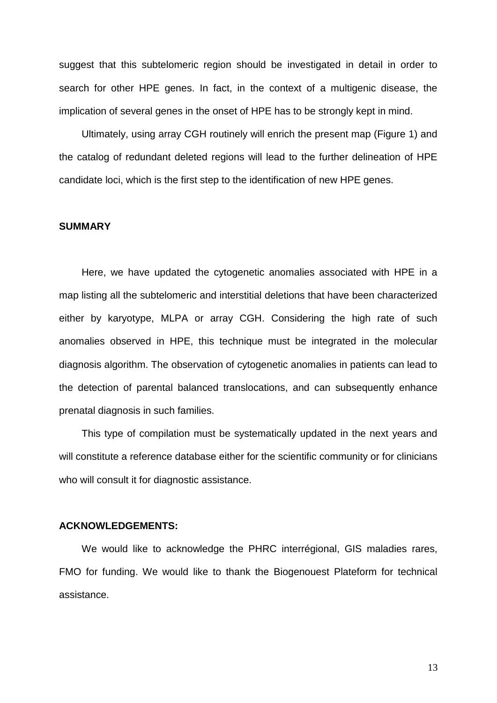suggest that this subtelomeric region should be investigated in detail in order to search for other HPE genes. In fact, in the context of a multigenic disease, the implication of several genes in the onset of HPE has to be strongly kept in mind.

Ultimately, using array CGH routinely will enrich the present map (Figure 1) and the catalog of redundant deleted regions will lead to the further delineation of HPE candidate loci, which is the first step to the identification of new HPE genes.

### **SUMMARY**

Here, we have updated the cytogenetic anomalies associated with HPE in a map listing all the subtelomeric and interstitial deletions that have been characterized either by karyotype, MLPA or array CGH. Considering the high rate of such anomalies observed in HPE, this technique must be integrated in the molecular diagnosis algorithm. The observation of cytogenetic anomalies in patients can lead to the detection of parental balanced translocations, and can subsequently enhance prenatal diagnosis in such families.

This type of compilation must be systematically updated in the next years and will constitute a reference database either for the scientific community or for clinicians who will consult it for diagnostic assistance.

### **ACKNOWLEDGEMENTS:**

We would like to acknowledge the PHRC interrégional, GIS maladies rares, FMO for funding. We would like to thank the Biogenouest Plateform for technical assistance.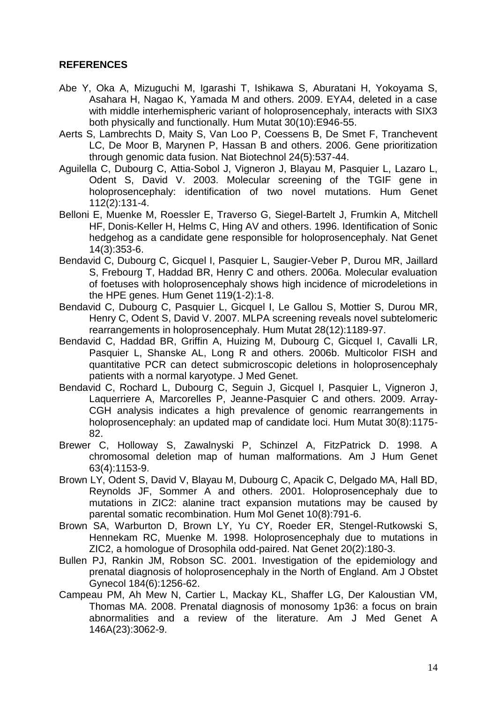### **REFERENCES**

- Abe Y, Oka A, Mizuguchi M, Igarashi T, Ishikawa S, Aburatani H, Yokoyama S, Asahara H, Nagao K, Yamada M and others. 2009. EYA4, deleted in a case with middle interhemispheric variant of holoprosencephaly, interacts with SIX3 both physically and functionally. Hum Mutat 30(10):E946-55.
- Aerts S, Lambrechts D, Maity S, Van Loo P, Coessens B, De Smet F, Tranchevent LC, De Moor B, Marynen P, Hassan B and others. 2006. Gene prioritization through genomic data fusion. Nat Biotechnol 24(5):537-44.
- Aguilella C, Dubourg C, Attia-Sobol J, Vigneron J, Blayau M, Pasquier L, Lazaro L, Odent S, David V. 2003. Molecular screening of the TGIF gene in holoprosencephaly: identification of two novel mutations. Hum Genet 112(2):131-4.
- Belloni E, Muenke M, Roessler E, Traverso G, Siegel-Bartelt J, Frumkin A, Mitchell HF, Donis-Keller H, Helms C, Hing AV and others. 1996. Identification of Sonic hedgehog as a candidate gene responsible for holoprosencephaly. Nat Genet 14(3):353-6.
- Bendavid C, Dubourg C, Gicquel I, Pasquier L, Saugier-Veber P, Durou MR, Jaillard S, Frebourg T, Haddad BR, Henry C and others. 2006a. Molecular evaluation of foetuses with holoprosencephaly shows high incidence of microdeletions in the HPE genes. Hum Genet 119(1-2):1-8.
- Bendavid C, Dubourg C, Pasquier L, Gicquel I, Le Gallou S, Mottier S, Durou MR, Henry C, Odent S, David V. 2007. MLPA screening reveals novel subtelomeric rearrangements in holoprosencephaly. Hum Mutat 28(12):1189-97.
- Bendavid C, Haddad BR, Griffin A, Huizing M, Dubourg C, Gicquel I, Cavalli LR, Pasquier L, Shanske AL, Long R and others. 2006b. Multicolor FISH and quantitative PCR can detect submicroscopic deletions in holoprosencephaly patients with a normal karyotype. J Med Genet.
- Bendavid C, Rochard L, Dubourg C, Seguin J, Gicquel I, Pasquier L, Vigneron J, Laquerriere A, Marcorelles P, Jeanne-Pasquier C and others. 2009. Array-CGH analysis indicates a high prevalence of genomic rearrangements in holoprosencephaly: an updated map of candidate loci. Hum Mutat 30(8):1175- 82.
- Brewer C, Holloway S, Zawalnyski P, Schinzel A, FitzPatrick D. 1998. A chromosomal deletion map of human malformations. Am J Hum Genet 63(4):1153-9.
- Brown LY, Odent S, David V, Blayau M, Dubourg C, Apacik C, Delgado MA, Hall BD, Reynolds JF, Sommer A and others. 2001. Holoprosencephaly due to mutations in ZIC2: alanine tract expansion mutations may be caused by parental somatic recombination. Hum Mol Genet 10(8):791-6.
- Brown SA, Warburton D, Brown LY, Yu CY, Roeder ER, Stengel-Rutkowski S, Hennekam RC, Muenke M. 1998. Holoprosencephaly due to mutations in ZIC2, a homologue of Drosophila odd-paired. Nat Genet 20(2):180-3.
- Bullen PJ, Rankin JM, Robson SC. 2001. Investigation of the epidemiology and prenatal diagnosis of holoprosencephaly in the North of England. Am J Obstet Gynecol 184(6):1256-62.
- Campeau PM, Ah Mew N, Cartier L, Mackay KL, Shaffer LG, Der Kaloustian VM, Thomas MA. 2008. Prenatal diagnosis of monosomy 1p36: a focus on brain abnormalities and a review of the literature. Am J Med Genet A 146A(23):3062-9.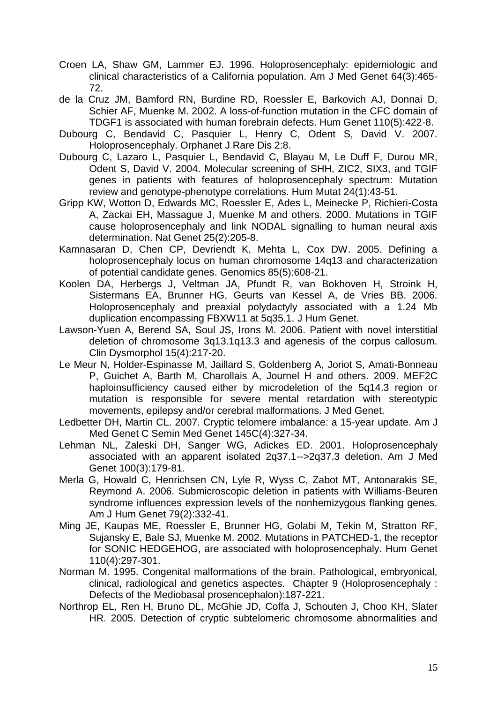- Croen LA, Shaw GM, Lammer EJ. 1996. Holoprosencephaly: epidemiologic and clinical characteristics of a California population. Am J Med Genet 64(3):465- 72.
- de la Cruz JM, Bamford RN, Burdine RD, Roessler E, Barkovich AJ, Donnai D, Schier AF, Muenke M. 2002. A loss-of-function mutation in the CFC domain of TDGF1 is associated with human forebrain defects. Hum Genet 110(5):422-8.
- Dubourg C, Bendavid C, Pasquier L, Henry C, Odent S, David V. 2007. Holoprosencephaly. Orphanet J Rare Dis 2:8.
- Dubourg C, Lazaro L, Pasquier L, Bendavid C, Blayau M, Le Duff F, Durou MR, Odent S, David V. 2004. Molecular screening of SHH, ZIC2, SIX3, and TGIF genes in patients with features of holoprosencephaly spectrum: Mutation review and genotype-phenotype correlations. Hum Mutat 24(1):43-51.
- Gripp KW, Wotton D, Edwards MC, Roessler E, Ades L, Meinecke P, Richieri-Costa A, Zackai EH, Massague J, Muenke M and others. 2000. Mutations in TGIF cause holoprosencephaly and link NODAL signalling to human neural axis determination. Nat Genet 25(2):205-8.
- Kamnasaran D, Chen CP, Devriendt K, Mehta L, Cox DW. 2005. Defining a holoprosencephaly locus on human chromosome 14q13 and characterization of potential candidate genes. Genomics 85(5):608-21.
- Koolen DA, Herbergs J, Veltman JA, Pfundt R, van Bokhoven H, Stroink H, Sistermans EA, Brunner HG, Geurts van Kessel A, de Vries BB. 2006. Holoprosencephaly and preaxial polydactyly associated with a 1.24 Mb duplication encompassing FBXW11 at 5q35.1. J Hum Genet.
- Lawson-Yuen A, Berend SA, Soul JS, Irons M. 2006. Patient with novel interstitial deletion of chromosome 3q13.1q13.3 and agenesis of the corpus callosum. Clin Dysmorphol 15(4):217-20.
- Le Meur N, Holder-Espinasse M, Jaillard S, Goldenberg A, Joriot S, Amati-Bonneau P, Guichet A, Barth M, Charollais A, Journel H and others. 2009. MEF2C haploinsufficiency caused either by microdeletion of the 5q14.3 region or mutation is responsible for severe mental retardation with stereotypic movements, epilepsy and/or cerebral malformations. J Med Genet.
- Ledbetter DH, Martin CL. 2007. Cryptic telomere imbalance: a 15-year update. Am J Med Genet C Semin Med Genet 145C(4):327-34.
- Lehman NL, Zaleski DH, Sanger WG, Adickes ED. 2001. Holoprosencephaly associated with an apparent isolated 2q37.1-->2q37.3 deletion. Am J Med Genet 100(3):179-81.
- Merla G, Howald C, Henrichsen CN, Lyle R, Wyss C, Zabot MT, Antonarakis SE, Reymond A. 2006. Submicroscopic deletion in patients with Williams-Beuren syndrome influences expression levels of the nonhemizygous flanking genes. Am J Hum Genet 79(2):332-41.
- Ming JE, Kaupas ME, Roessler E, Brunner HG, Golabi M, Tekin M, Stratton RF, Sujansky E, Bale SJ, Muenke M. 2002. Mutations in PATCHED-1, the receptor for SONIC HEDGEHOG, are associated with holoprosencephaly. Hum Genet 110(4):297-301.
- Norman M. 1995. Congenital malformations of the brain. Pathological, embryonical, clinical, radiological and genetics aspectes. Chapter 9 (Holoprosencephaly : Defects of the Mediobasal prosencephalon):187-221.
- Northrop EL, Ren H, Bruno DL, McGhie JD, Coffa J, Schouten J, Choo KH, Slater HR. 2005. Detection of cryptic subtelomeric chromosome abnormalities and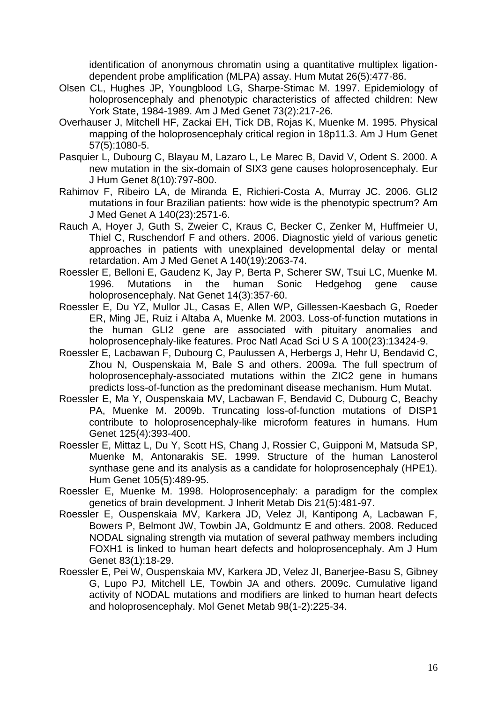identification of anonymous chromatin using a quantitative multiplex ligationdependent probe amplification (MLPA) assay. Hum Mutat 26(5):477-86.

- Olsen CL, Hughes JP, Youngblood LG, Sharpe-Stimac M. 1997. Epidemiology of holoprosencephaly and phenotypic characteristics of affected children: New York State, 1984-1989. Am J Med Genet 73(2):217-26.
- Overhauser J, Mitchell HF, Zackai EH, Tick DB, Rojas K, Muenke M. 1995. Physical mapping of the holoprosencephaly critical region in 18p11.3. Am J Hum Genet 57(5):1080-5.
- Pasquier L, Dubourg C, Blayau M, Lazaro L, Le Marec B, David V, Odent S. 2000. A new mutation in the six-domain of SIX3 gene causes holoprosencephaly. Eur J Hum Genet 8(10):797-800.
- Rahimov F, Ribeiro LA, de Miranda E, Richieri-Costa A, Murray JC. 2006. GLI2 mutations in four Brazilian patients: how wide is the phenotypic spectrum? Am J Med Genet A 140(23):2571-6.
- Rauch A, Hoyer J, Guth S, Zweier C, Kraus C, Becker C, Zenker M, Huffmeier U, Thiel C, Ruschendorf F and others. 2006. Diagnostic yield of various genetic approaches in patients with unexplained developmental delay or mental retardation. Am J Med Genet A 140(19):2063-74.
- Roessler E, Belloni E, Gaudenz K, Jay P, Berta P, Scherer SW, Tsui LC, Muenke M. 1996. Mutations in the human Sonic Hedgehog gene cause holoprosencephaly. Nat Genet 14(3):357-60.
- Roessler E, Du YZ, Mullor JL, Casas E, Allen WP, Gillessen-Kaesbach G, Roeder ER, Ming JE, Ruiz i Altaba A, Muenke M. 2003. Loss-of-function mutations in the human GLI2 gene are associated with pituitary anomalies and holoprosencephaly-like features. Proc Natl Acad Sci U S A 100(23):13424-9.
- Roessler E, Lacbawan F, Dubourg C, Paulussen A, Herbergs J, Hehr U, Bendavid C, Zhou N, Ouspenskaia M, Bale S and others. 2009a. The full spectrum of holoprosencephaly-associated mutations within the ZIC2 gene in humans predicts loss-of-function as the predominant disease mechanism. Hum Mutat.
- Roessler E, Ma Y, Ouspenskaia MV, Lacbawan F, Bendavid C, Dubourg C, Beachy PA, Muenke M. 2009b. Truncating loss-of-function mutations of DISP1 contribute to holoprosencephaly-like microform features in humans. Hum Genet 125(4):393-400.
- Roessler E, Mittaz L, Du Y, Scott HS, Chang J, Rossier C, Guipponi M, Matsuda SP, Muenke M, Antonarakis SE. 1999. Structure of the human Lanosterol synthase gene and its analysis as a candidate for holoprosencephaly (HPE1). Hum Genet 105(5):489-95.
- Roessler E, Muenke M. 1998. Holoprosencephaly: a paradigm for the complex genetics of brain development. J Inherit Metab Dis 21(5):481-97.
- Roessler E, Ouspenskaia MV, Karkera JD, Velez JI, Kantipong A, Lacbawan F, Bowers P, Belmont JW, Towbin JA, Goldmuntz E and others. 2008. Reduced NODAL signaling strength via mutation of several pathway members including FOXH1 is linked to human heart defects and holoprosencephaly. Am J Hum Genet 83(1):18-29.
- Roessler E, Pei W, Ouspenskaia MV, Karkera JD, Velez JI, Banerjee-Basu S, Gibney G, Lupo PJ, Mitchell LE, Towbin JA and others. 2009c. Cumulative ligand activity of NODAL mutations and modifiers are linked to human heart defects and holoprosencephaly. Mol Genet Metab 98(1-2):225-34.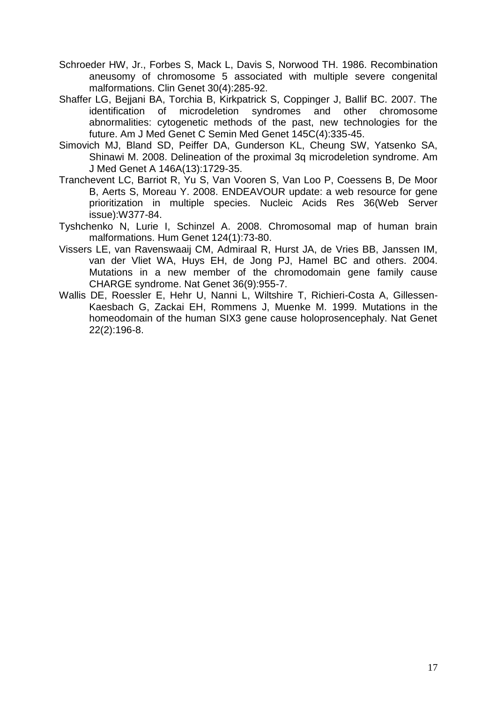- Schroeder HW, Jr., Forbes S, Mack L, Davis S, Norwood TH. 1986. Recombination aneusomy of chromosome 5 associated with multiple severe congenital malformations. Clin Genet 30(4):285-92.
- Shaffer LG, Bejjani BA, Torchia B, Kirkpatrick S, Coppinger J, Ballif BC. 2007. The identification of microdeletion syndromes and other chromosome abnormalities: cytogenetic methods of the past, new technologies for the future. Am J Med Genet C Semin Med Genet 145C(4):335-45.
- Simovich MJ, Bland SD, Peiffer DA, Gunderson KL, Cheung SW, Yatsenko SA, Shinawi M. 2008. Delineation of the proximal 3q microdeletion syndrome. Am J Med Genet A 146A(13):1729-35.
- Tranchevent LC, Barriot R, Yu S, Van Vooren S, Van Loo P, Coessens B, De Moor B, Aerts S, Moreau Y. 2008. ENDEAVOUR update: a web resource for gene prioritization in multiple species. Nucleic Acids Res 36(Web Server issue):W377-84.
- Tyshchenko N, Lurie I, Schinzel A. 2008. Chromosomal map of human brain malformations. Hum Genet 124(1):73-80.
- Vissers LE, van Ravenswaaij CM, Admiraal R, Hurst JA, de Vries BB, Janssen IM, van der Vliet WA, Huys EH, de Jong PJ, Hamel BC and others. 2004. Mutations in a new member of the chromodomain gene family cause CHARGE syndrome. Nat Genet 36(9):955-7.
- Wallis DE, Roessler E, Hehr U, Nanni L, Wiltshire T, Richieri-Costa A, Gillessen-Kaesbach G, Zackai EH, Rommens J, Muenke M. 1999. Mutations in the homeodomain of the human SIX3 gene cause holoprosencephaly. Nat Genet 22(2):196-8.